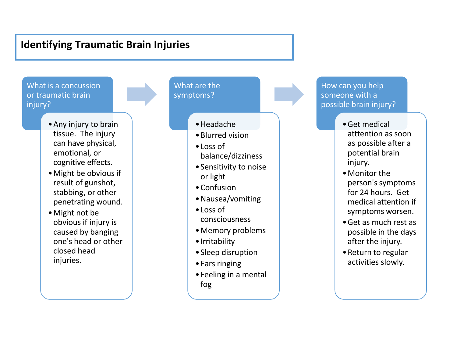## **Identifying Traumatic Brain Injuries**

What is a concussion or traumatic brain injury?

- •Any injury to brain tissue. The injury can have physical, emotional, or cognitive effects.
- •Might be obvious if result of gunshot, stabbing, or other penetrating wound.
- •Might not be obvious if injury is caused by banging one's head or other closed head injuries.

What are the symptoms?

•Headache

- •Blurred vision
- •Loss of balance/dizziness
- •Sensitivity to noise or light
- •Confusion
- •Nausea/vomiting
- •Loss of consciousness
- •Memory problems
- •Irritability
- •Sleep disruption
- •Ears ringing
- •Feeling in a mental fog

How can you help someone with a possible brain injury?

- •Get medical atttention as soon as possible after a potential brain injury.
- •Monitor the person's symptoms for 24 hours. Get medical attention if symptoms worsen.
- •Get as much rest as possible in the days after the injury.
- •Return to regular activities slowly.